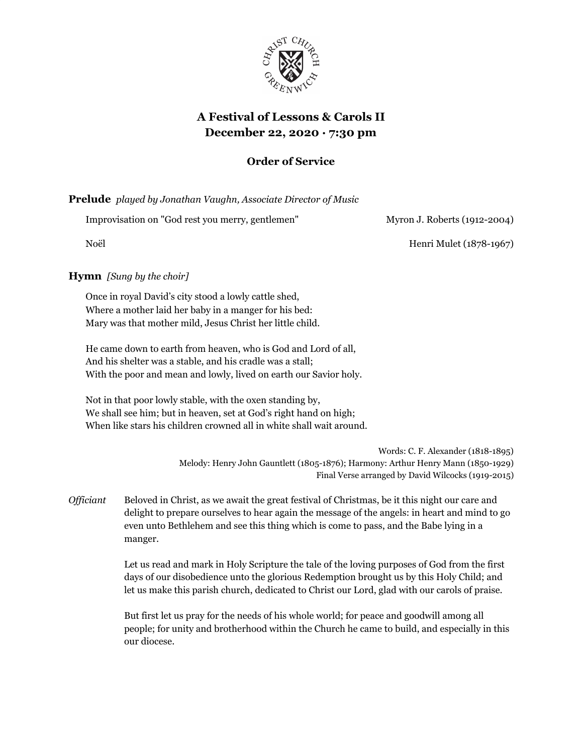

# **A Festival of Lessons & Carols II December 22, 2020 · 7:30 pm**

## **Order of Service**

**Prelude** *played by Jonathan Vaughn, Associate Director of Music*

Improvisation on "God rest you merry, gentlemen" Myron J. Roberts (1912-2004)

Noël Henri Mulet (1878-1967)

## **Hymn** *[Sung by the choir]*

Once in royal David's city stood a lowly cattle shed, Where a mother laid her baby in a manger for his bed: Mary was that mother mild, Jesus Christ her little child.

He came down to earth from heaven, who is God and Lord of all, And his shelter was a stable, and his cradle was a stall; With the poor and mean and lowly, lived on earth our Savior holy.

Not in that poor lowly stable, with the oxen standing by, We shall see him; but in heaven, set at God's right hand on high; When like stars his children crowned all in white shall wait around.

> Words: C. F. Alexander (1818-1895) Melody: Henry John Gauntlett (1805-1876); Harmony: Arthur Henry Mann (1850-1929) Final Verse arranged by David Wilcocks (1919-2015)

*Officiant* Beloved in Christ, as we await the great festival of Christmas, be it this night our care and delight to prepare ourselves to hear again the message of the angels: in heart and mind to go even unto Bethlehem and see this thing which is come to pass, and the Babe lying in a manger.

> Let us read and mark in Holy Scripture the tale of the loving purposes of God from the first days of our disobedience unto the glorious Redemption brought us by this Holy Child; and let us make this parish church, dedicated to Christ our Lord, glad with our carols of praise.

But first let us pray for the needs of his whole world; for peace and goodwill among all people; for unity and brotherhood within the Church he came to build, and especially in this our diocese.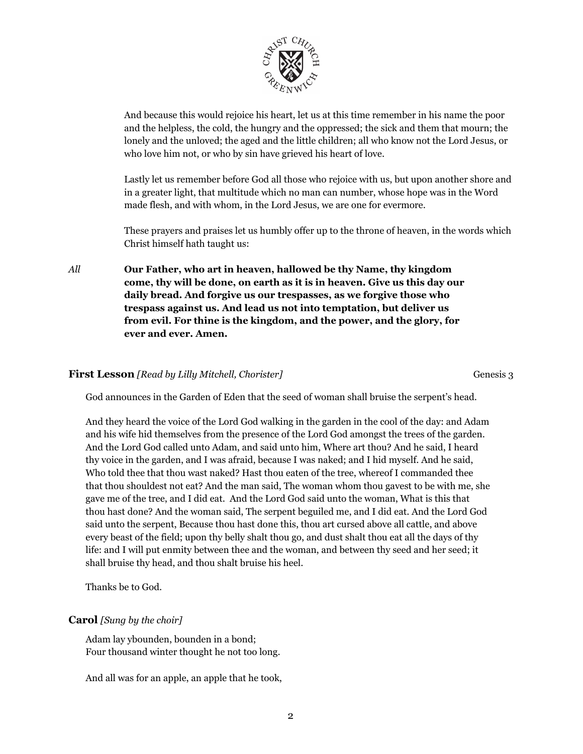

And because this would rejoice his heart, let us at this time remember in his name the poor and the helpless, the cold, the hungry and the oppressed; the sick and them that mourn; the lonely and the unloved; the aged and the little children; all who know not the Lord Jesus, or who love him not, or who by sin have grieved his heart of love.

Lastly let us remember before God all those who rejoice with us, but upon another shore and in a greater light, that multitude which no man can number, whose hope was in the Word made flesh, and with whom, in the Lord Jesus, we are one for evermore.

These prayers and praises let us humbly offer up to the throne of heaven, in the words which Christ himself hath taught us:

*All* **Our Father, who art in heaven, hallowed be thy Name, thy kingdom come, thy will be done, on earth as it is in heaven. Give us this day our daily bread. And forgive us our trespasses, as we forgive those who trespass against us. And lead us not into temptation, but deliver us from evil. For thine is the kingdom, and the power, and the glory, for ever and ever. Amen.**

#### **First Lesson** *[Read by Lilly Mitchell, Chorister]* Genesis 3

God announces in the Garden of Eden that the seed of woman shall bruise the serpent's head.

And they heard the voice of the Lord God walking in the garden in the cool of the day: and Adam and his wife hid themselves from the presence of the Lord God amongst the trees of the garden. And the Lord God called unto Adam, and said unto him, Where art thou? And he said, I heard thy voice in the garden, and I was afraid, because I was naked; and I hid myself. And he said, Who told thee that thou wast naked? Hast thou eaten of the tree, whereof I commanded thee that thou shouldest not eat? And the man said, The woman whom thou gavest to be with me, she gave me of the tree, and I did eat. And the Lord God said unto the woman, What is this that thou hast done? And the woman said, The serpent beguiled me, and I did eat. And the Lord God said unto the serpent, Because thou hast done this, thou art cursed above all cattle, and above every beast of the field; upon thy belly shalt thou go, and dust shalt thou eat all the days of thy life: and I will put enmity between thee and the woman, and between thy seed and her seed; it shall bruise thy head, and thou shalt bruise his heel.

Thanks be to God.

#### **Carol** *[Sung by the choir]*

Adam lay ybounden, bounden in a bond; Four thousand winter thought he not too long.

And all was for an apple, an apple that he took,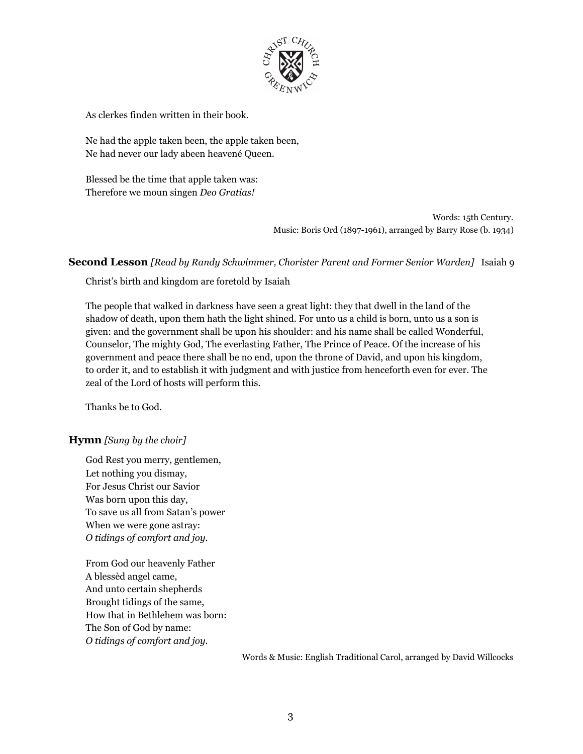

As clerkes finden written in their book.

Ne had the apple taken been, the apple taken been, Ne had never our lady abeen heavené Queen.

Blessed be the time that apple taken was: Therefore we moun singen *Deo Gratias!*

> Words: 15th Century. Music: Boris Ord (1897-1961), arranged by Barry Rose (b. 1934)

#### **Second Lesson** *[Read by Randy Schwimmer, Chorister Parent and Former Senior Warden]* Isaiah 9

Christ's birth and kingdom are foretold by Isaiah

The people that walked in darkness have seen a great light: they that dwell in the land of the shadow of death, upon them hath the light shined. For unto us a child is born, unto us a son is given: and the government shall be upon his shoulder: and his name shall be called Wonderful, Counselor, The mighty God, The everlasting Father, The Prince of Peace. Of the increase of his government and peace there shall be no end, upon the throne of David, and upon his kingdom, to order it, and to establish it with judgment and with justice from henceforth even for ever. The zeal of the Lord of hosts will perform this.

Thanks be to God.

## **Hymn** *[Sung by the choir]*

God Rest you merry, gentlemen, Let nothing you dismay, For Jesus Christ our Savior Was born upon this day, To save us all from Satan's power When we were gone astray: *O tidings of comfort and joy.*

From God our heavenly Father A blessèd angel came, And unto certain shepherds Brought tidings of the same, How that in Bethlehem was born: The Son of God by name: *O tidings of comfort and joy.*

Words & Music: English Traditional Carol, arranged by David Willcocks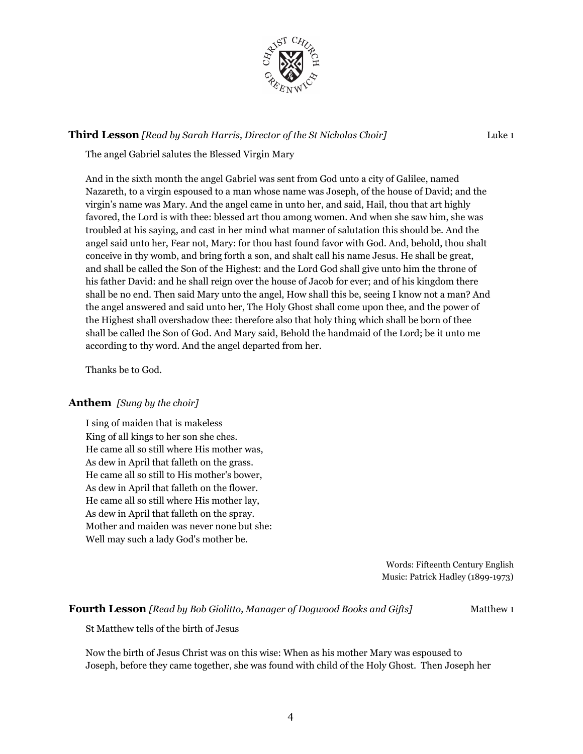

## **Third Lesson** *[Read by Sarah Harris, Director of the St Nicholas Choir]* Luke 1

The angel Gabriel salutes the Blessed Virgin Mary

And in the sixth month the angel Gabriel was sent from God unto a city of Galilee, named Nazareth, to a virgin espoused to a man whose name was Joseph, of the house of David; and the virgin's name was Mary. And the angel came in unto her, and said, Hail, thou that art highly favored, the Lord is with thee: blessed art thou among women. And when she saw him, she was troubled at his saying, and cast in her mind what manner of salutation this should be. And the angel said unto her, Fear not, Mary: for thou hast found favor with God. And, behold, thou shalt conceive in thy womb, and bring forth a son, and shalt call his name Jesus. He shall be great, and shall be called the Son of the Highest: and the Lord God shall give unto him the throne of his father David: and he shall reign over the house of Jacob for ever; and of his kingdom there shall be no end. Then said Mary unto the angel, How shall this be, seeing I know not a man? And the angel answered and said unto her, The Holy Ghost shall come upon thee, and the power of the Highest shall overshadow thee: therefore also that holy thing which shall be born of thee shall be called the Son of God. And Mary said, Behold the handmaid of the Lord; be it unto me according to thy word. And the angel departed from her.

Thanks be to God.

#### **Anthem** *[Sung by the choir]*

I sing of maiden that is makeless King of all kings to her son she ches. He came all so still where His mother was, As dew in April that falleth on the grass. He came all so still to His mother's bower, As dew in April that falleth on the flower. He came all so still where His mother lay, As dew in April that falleth on the spray. Mother and maiden was never none but she: Well may such a lady God's mother be.

> Words: Fifteenth Century English Music: Patrick Hadley (1899-1973)

#### **Fourth Lesson** *[Read by Bob Giolitto, Manager of Dogwood Books and Gifts]* Matthew 1

St Matthew tells of the birth of Jesus

Now the birth of Jesus Christ was on this wise: When as his mother Mary was espoused to Joseph, before they came together, she was found with child of the Holy Ghost. Then Joseph her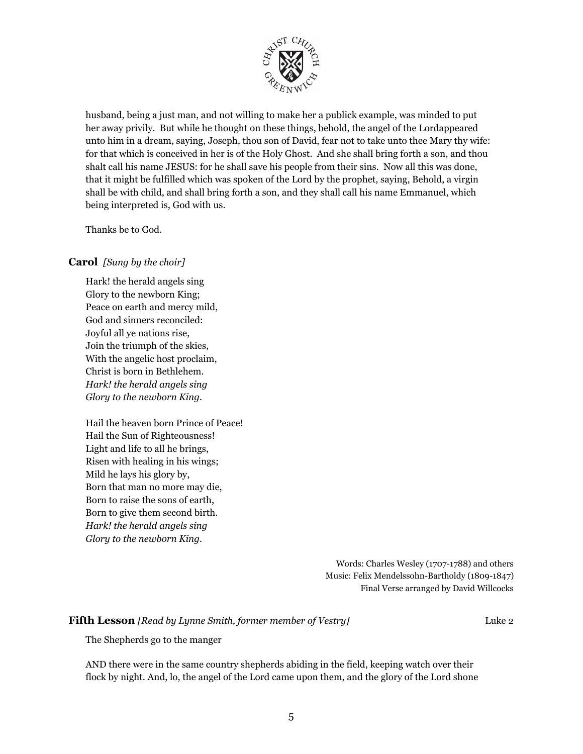

husband, being a just man, and not willing to make her a publick example, was minded to put her away privily. But while he thought on these things, behold, the angel of the Lordappeared unto him in a dream, saying, Joseph, thou son of David, fear not to take unto thee Mary thy wife: for that which is conceived in her is of the Holy Ghost. And she shall bring forth a son, and thou shalt call his name JESUS: for he shall save his people from their sins. Now all this was done, that it might be fulfilled which was spoken of the Lord by the prophet, saying, Behold, a virgin shall be with child, and shall bring forth a son, and they shall call his name Emmanuel, which being interpreted is, God with us.

Thanks be to God.

#### **Carol** *[Sung by the choir]*

Hark! the herald angels sing Glory to the newborn King; Peace on earth and mercy mild, God and sinners reconciled: Joyful all ye nations rise, Join the triumph of the skies, With the angelic host proclaim, Christ is born in Bethlehem. *Hark! the herald angels sing Glory to the newborn King.*

Hail the heaven born Prince of Peace! Hail the Sun of Righteousness! Light and life to all he brings, Risen with healing in his wings; Mild he lays his glory by, Born that man no more may die, Born to raise the sons of earth, Born to give them second birth. *Hark! the herald angels sing Glory to the newborn King.*

> Words: Charles Wesley (1707-1788) and others Music: Felix Mendelssohn-Bartholdy (1809-1847) Final Verse arranged by David Willcocks

#### **Fifth Lesson** *[Read by Lynne Smith, former member of Vestry]* Luke 2

The Shepherds go to the manger

AND there were in the same country shepherds abiding in the field, keeping watch over their flock by night. And, lo, the angel of the Lord came upon them, and the glory of the Lord shone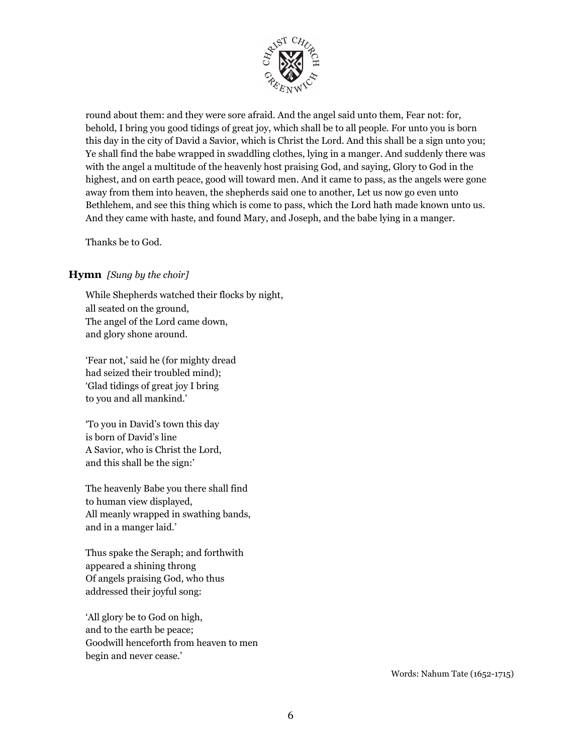

round about them: and they were sore afraid. And the angel said unto them, Fear not: for, behold, I bring you good tidings of great joy, which shall be to all people. For unto you is born this day in the city of David a Savior, which is Christ the Lord. And this shall be a sign unto you; Ye shall find the babe wrapped in swaddling clothes, lying in a manger. And suddenly there was with the angel a multitude of the heavenly host praising God, and saying, Glory to God in the highest, and on earth peace, good will toward men. And it came to pass, as the angels were gone away from them into heaven, the shepherds said one to another, Let us now go even unto Bethlehem, and see this thing which is come to pass, which the Lord hath made known unto us. And they came with haste, and found Mary, and Joseph, and the babe lying in a manger.

Thanks be to God.

#### **Hymn** *[Sung by the choir]*

While Shepherds watched their flocks by night, all seated on the ground, The angel of the Lord came down, and glory shone around.

'Fear not,' said he (for mighty dread had seized their troubled mind); 'Glad tidings of great joy I bring to you and all mankind.'

'To you in David's town this day is born of David's line A Savior, who is Christ the Lord, and this shall be the sign:'

The heavenly Babe you there shall find to human view displayed, All meanly wrapped in swathing bands, and in a manger laid.'

Thus spake the Seraph; and forthwith appeared a shining throng Of angels praising God, who thus addressed their joyful song:

'All glory be to God on high, and to the earth be peace; Goodwill henceforth from heaven to men begin and never cease.'

Words: Nahum Tate (1652-1715)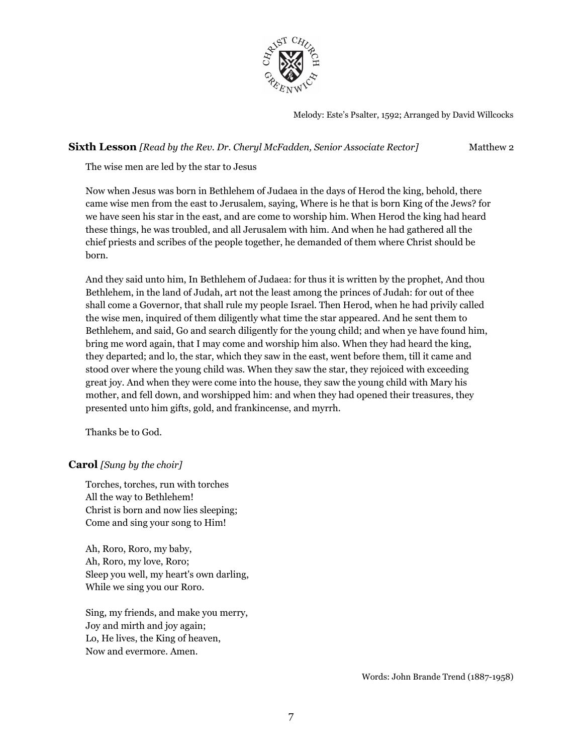

Melody: Este's Psalter, 1592; Arranged by David Willcocks

**Sixth Lesson** *[Read by the Rev. Dr. Cheryl McFadden, Senior Associate Rector]* Matthew 2

The wise men are led by the star to Jesus

Now when Jesus was born in Bethlehem of Judaea in the days of Herod the king, behold, there came wise men from the east to Jerusalem, saying, Where is he that is born King of the Jews? for we have seen his star in the east, and are come to worship him. When Herod the king had heard these things, he was troubled, and all Jerusalem with him. And when he had gathered all the chief priests and scribes of the people together, he demanded of them where Christ should be born.

And they said unto him, In Bethlehem of Judaea: for thus it is written by the prophet, And thou Bethlehem, in the land of Judah, art not the least among the princes of Judah: for out of thee shall come a Governor, that shall rule my people Israel. Then Herod, when he had privily called the wise men, inquired of them diligently what time the star appeared. And he sent them to Bethlehem, and said, Go and search diligently for the young child; and when ye have found him, bring me word again, that I may come and worship him also. When they had heard the king, they departed; and lo, the star, which they saw in the east, went before them, till it came and stood over where the young child was. When they saw the star, they rejoiced with exceeding great joy. And when they were come into the house, they saw the young child with Mary his mother, and fell down, and worshipped him: and when they had opened their treasures, they presented unto him gifts, gold, and frankincense, and myrrh.

Thanks be to God.

#### **Carol** *[Sung by the choir]*

Torches, torches, run with torches All the way to Bethlehem! Christ is born and now lies sleeping; Come and sing your song to Him!

Ah, Roro, Roro, my baby, Ah, Roro, my love, Roro; Sleep you well, my heart's own darling, While we sing you our Roro.

Sing, my friends, and make you merry, Joy and mirth and joy again; Lo, He lives, the King of heaven, Now and evermore. Amen.

Words: John Brande Trend (1887-1958)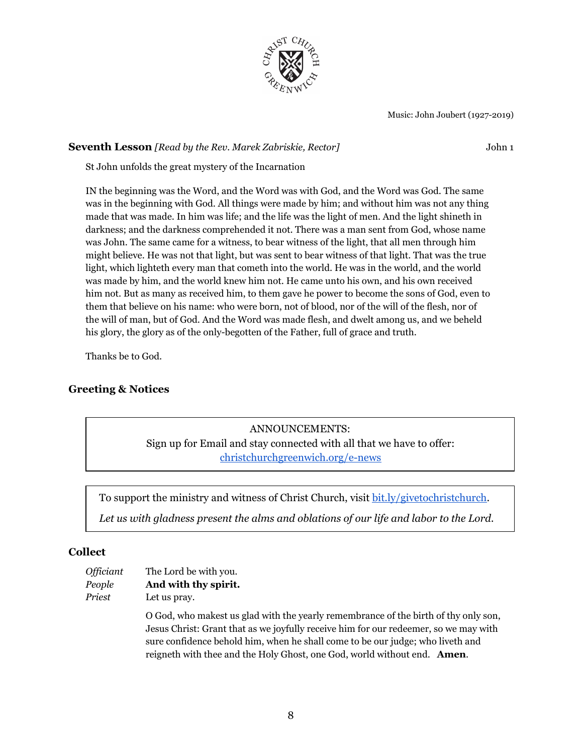

Music: John Joubert (1927-2019)

#### **Seventh Lesson** *[Read by the Rev. Marek Zabriskie, Rector]* John 1

St John unfolds the great mystery of the Incarnation

IN the beginning was the Word, and the Word was with God, and the Word was God. The same was in the beginning with God. All things were made by him; and without him was not any thing made that was made. In him was life; and the life was the light of men. And the light shineth in darkness; and the darkness comprehended it not. There was a man sent from God, whose name was John. The same came for a witness, to bear witness of the light, that all men through him might believe. He was not that light, but was sent to bear witness of that light. That was the true light, which lighteth every man that cometh into the world. He was in the world, and the world was made by him, and the world knew him not. He came unto his own, and his own received him not. But as many as received him, to them gave he power to become the sons of God, even to them that believe on his name: who were born, not of blood, nor of the will of the flesh, nor of the will of man, but of God. And the Word was made flesh, and dwelt among us, and we beheld his glory, the glory as of the only-begotten of the Father, full of grace and truth.

Thanks be to God.

## **Greeting & Notices**

ANNOUNCEMENTS: Sign up for Email and stay connected with all that we have to offer: [christchurchgreenwich.org/e-news](https://christchurchgreenwich.org/e-news/)

To support the ministry and witness of Christ Church, visit [bit.ly/givetochristchurch.](http://bit.ly/givetochristchurch)

*Let us with gladness present the alms and oblations of our life and labor to the Lord.*

## **Collect**

| Officiant | The Lord be with you. |
|-----------|-----------------------|
| People    | And with thy spirit.  |
| Priest    | Let us pray.          |

O God, who makest us glad with the yearly remembrance of the birth of thy only son, Jesus Christ: Grant that as we joyfully receive him for our redeemer, so we may with sure confidence behold him, when he shall come to be our judge; who liveth and reigneth with thee and the Holy Ghost, one God, world without end. **Amen**.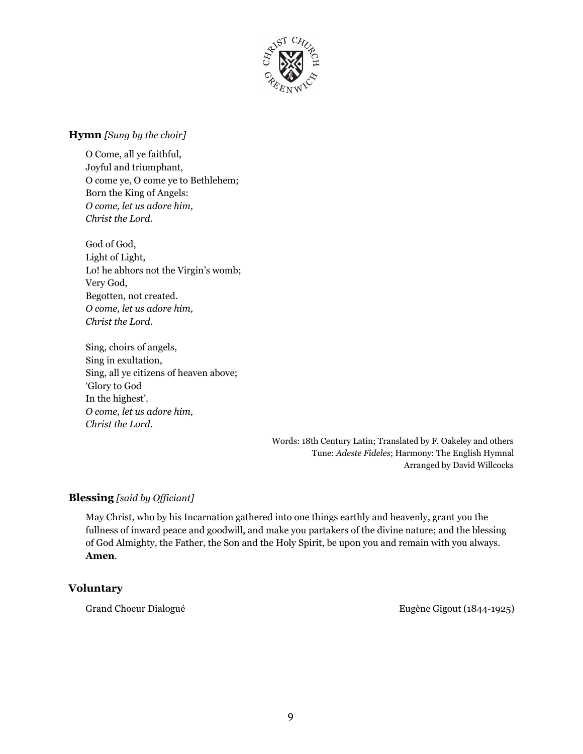

#### **Hymn** *[Sung by the choir]*

O Come, all ye faithful, Joyful and triumphant, O come ye, O come ye to Bethlehem; Born the King of Angels: *O come, let us adore him, Christ the Lord.*

God of God, Light of Light, Lo! he abhors not the Virgin's womb; Very God, Begotten, not created. *O come, let us adore him, Christ the Lord.*

Sing, choirs of angels, Sing in exultation, Sing, all ye citizens of heaven above; 'Glory to God In the highest'. *O come, let us adore him, Christ the Lord.*

> Words: 18th Century Latin; Translated by F. Oakeley and others Tune: *Adeste Fideles*; Harmony: The English Hymnal Arranged by David Willcocks

## **Blessing** [said by Officiant]

May Christ, who by his Incarnation gathered into one things earthly and heavenly, grant you the fullness of inward peace and goodwill, and make you partakers of the divine nature; and the blessing of God Almighty, the Father, the Son and the Holy Spirit, be upon you and remain with you always. **Amen**.

## **Voluntary**

Grand Choeur Dialogué **Eugène Gigout (1844-1925)**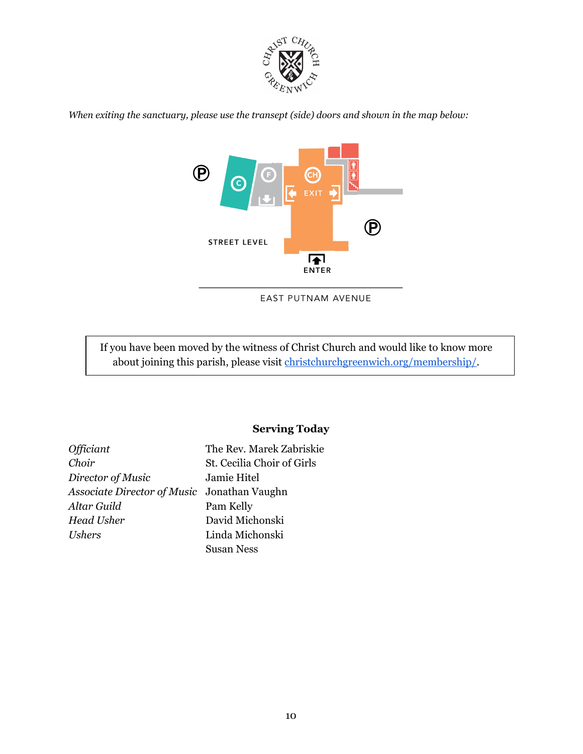

*When exiting the sanctuary, please use the transept (side) doors and shown in the map below:*



EAST PUTNAM AVENUE

If you have been moved by the witness of Christ Church and would like to know more about joining this parish, please visit [christchurchgreenwich.org/membership/.](https://christchurchgreenwich.org/membership/)

## **Serving Today**

| <i><b>Officiant</b></i>                     | The Rev. Marek Zabriskie   |
|---------------------------------------------|----------------------------|
| Choir                                       | St. Cecilia Choir of Girls |
| Director of Music                           | Jamie Hitel                |
| Associate Director of Music Jonathan Vaughn |                            |
| Altar Guild                                 | Pam Kelly                  |
| <b>Head Usher</b>                           | David Michonski            |
| <i>Ushers</i>                               | Linda Michonski            |
|                                             | <b>Susan Ness</b>          |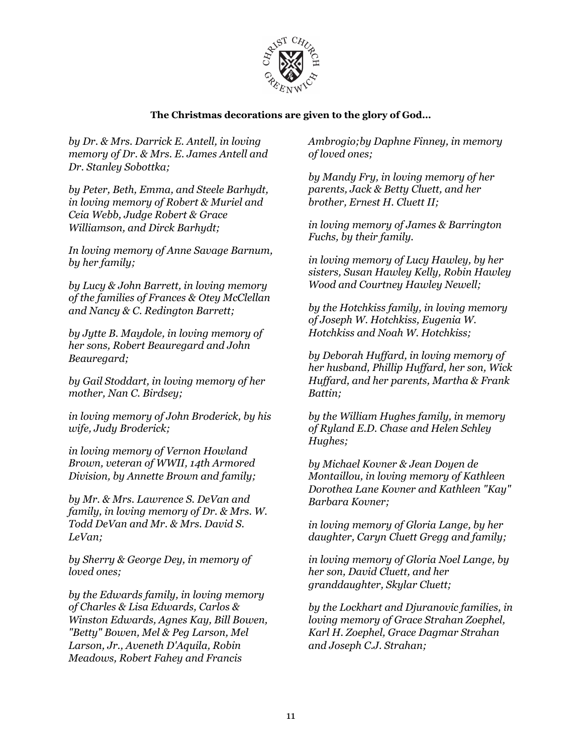

## **The Christmas decorations are given to the glory of God…**

*by Dr. & Mrs. Darrick E. Antell, in loving memory of Dr. & Mrs. E. James Antell and Dr. Stanley Sobottka;*

*by Peter, Beth, Emma, and Steele Barhydt, in loving memory of Robert & Muriel and Ceia Webb, Judge Robert & Grace Williamson, and Dirck Barhydt;*

*In loving memory of Anne Savage Barnum, by her family;*

*by Lucy & John Barrett, in loving memory of the families of Frances & Otey McClellan and Nancy & C. Redington Barrett;*

*by Jytte B. Maydole, in loving memory of her sons, Robert Beauregard and John Beauregard;*

*by Gail Stoddart, in loving memory of her mother, Nan C. Birdsey;*

*in loving memory of John Broderick, by his wife, Judy Broderick;*

*in loving memory of Vernon Howland Brown, veteran of WWII, 14th Armored Division, by Annette Brown and family;*

*by Mr. & Mrs. Lawrence S. DeVan and family, in loving memory of Dr. & Mrs. W. Todd DeVan and Mr. & Mrs. David S. LeVan;*

*by Sherry & George Dey, in memory of loved ones;*

*by the Edwards family, in loving memory of Charles & Lisa Edwards, Carlos & Winston Edwards, Agnes Kay, Bill Bowen, "Betty" Bowen, Mel & Peg Larson, Mel Larson, Jr., Aveneth D'Aquila, Robin Meadows, Robert Fahey and Francis*

*Ambrogio;by Daphne Finney, in memory of loved ones;*

*by Mandy Fry, in loving memory of her parents, Jack & Betty Cluett, and her brother, Ernest H. Cluett II;*

*in loving memory of James & Barrington Fuchs, by their family.*

*in loving memory of Lucy Hawley, by her sisters, Susan Hawley Kelly, Robin Hawley Wood and Courtney Hawley Newell;*

*by the Hotchkiss family, in loving memory of Joseph W. Hotchkiss, Eugenia W. Hotchkiss and Noah W. Hotchkiss;*

*by Deborah Huf ard, in loving memory of her husband, Phillip Huf ard, her son, Wick Huf ard, and her parents, Martha & Frank Battin;*

*by the William Hughes family, in memory of Ryland E.D. Chase and Helen Schley Hughes;*

*by Michael Kovner & Jean Doyen de Montaillou, in loving memory of Kathleen Dorothea Lane Kovner and Kathleen "Kay" Barbara Kovner;*

*in loving memory of Gloria Lange, by her daughter, Caryn Cluett Gregg and family;*

*in loving memory of Gloria Noel Lange, by her son, David Cluett, and her granddaughter, Skylar Cluett;*

*by the Lockhart and Djuranovic families, in loving memory of Grace Strahan Zoephel, Karl H. Zoephel, Grace Dagmar Strahan and Joseph C.J. Strahan;*